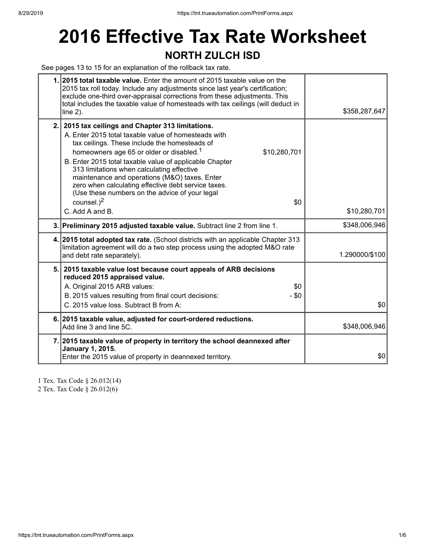# **2016 Effective Tax Rate Worksheet**

### **NORTH ZULCH ISD**

See pages 13 to 15 for an explanation of the rollback tax rate.

| 1. 2015 total taxable value. Enter the amount of 2015 taxable value on the<br>2015 tax roll today. Include any adjustments since last year's certification;<br>exclude one-third over-appraisal corrections from these adjustments. This<br>total includes the taxable value of homesteads with tax ceilings (will deduct in<br>line $2$ ).                                                                                                                                                           | \$358,287,647  |
|-------------------------------------------------------------------------------------------------------------------------------------------------------------------------------------------------------------------------------------------------------------------------------------------------------------------------------------------------------------------------------------------------------------------------------------------------------------------------------------------------------|----------------|
| 2. 2015 tax ceilings and Chapter 313 limitations.<br>A. Enter 2015 total taxable value of homesteads with<br>tax ceilings. These include the homesteads of<br>homeowners age 65 or older or disabled. <sup>1</sup><br>\$10,280,701<br>B. Enter 2015 total taxable value of applicable Chapter<br>313 limitations when calculating effective<br>maintenance and operations (M&O) taxes. Enter<br>zero when calculating effective debt service taxes.<br>(Use these numbers on the advice of your legal |                |
| counsel. $)^2$<br>\$0<br>C. Add A and B.                                                                                                                                                                                                                                                                                                                                                                                                                                                              | \$10,280,701   |
| 3. Preliminary 2015 adjusted taxable value. Subtract line 2 from line 1.                                                                                                                                                                                                                                                                                                                                                                                                                              | \$348,006,946  |
| 4. 2015 total adopted tax rate. (School districts with an applicable Chapter 313<br>limitation agreement will do a two step process using the adopted M&O rate<br>and debt rate separately).                                                                                                                                                                                                                                                                                                          | 1.290000/\$100 |
| 5. 2015 taxable value lost because court appeals of ARB decisions<br>reduced 2015 appraised value.<br>\$0<br>A. Original 2015 ARB values:<br>$-$ \$0<br>B. 2015 values resulting from final court decisions:<br>C. 2015 value loss. Subtract B from A:                                                                                                                                                                                                                                                | \$0            |
| 6. 2015 taxable value, adjusted for court-ordered reductions.<br>Add line 3 and line 5C.                                                                                                                                                                                                                                                                                                                                                                                                              | \$348,006,946  |
| 7. 2015 taxable value of property in territory the school deannexed after<br><b>January 1, 2015.</b><br>Enter the 2015 value of property in deannexed territory.                                                                                                                                                                                                                                                                                                                                      | \$0            |

1 Tex. Tax Code § 26.012(14) 2 Tex. Tax Code § 26.012(6)

https://tnt.trueautomation.com/PrintForms.aspx 1/6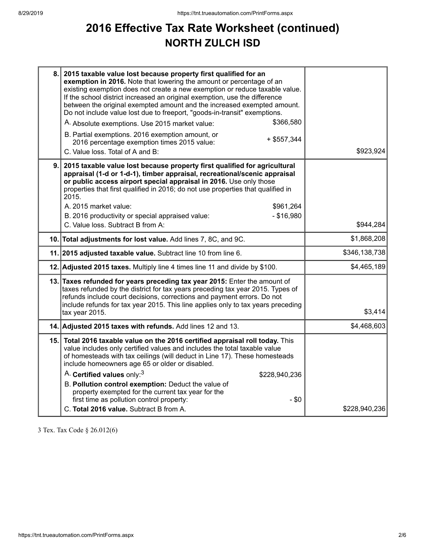## **2016 Effective Tax Rate Worksheet (continued) NORTH ZULCH ISD**

| 8. | 2015 taxable value lost because property first qualified for an<br>exemption in 2016. Note that lowering the amount or percentage of an<br>existing exemption does not create a new exemption or reduce taxable value.<br>If the school district increased an original exemption, use the difference<br>between the original exempted amount and the increased exempted amount.<br>Do not include value lost due to freeport, "goods-in-transit" exemptions.<br>\$366,580<br>A. Absolute exemptions. Use 2015 market value:<br>B. Partial exemptions. 2016 exemption amount, or<br>$+$ \$557,344<br>2016 percentage exemption times 2015 value:<br>C. Value loss. Total of A and B: | \$923,924     |
|----|-------------------------------------------------------------------------------------------------------------------------------------------------------------------------------------------------------------------------------------------------------------------------------------------------------------------------------------------------------------------------------------------------------------------------------------------------------------------------------------------------------------------------------------------------------------------------------------------------------------------------------------------------------------------------------------|---------------|
| 9. | 2015 taxable value lost because property first qualified for agricultural<br>appraisal (1-d or 1-d-1), timber appraisal, recreational/scenic appraisal<br>or public access airport special appraisal in 2016. Use only those<br>properties that first qualified in 2016; do not use properties that qualified in<br>2015.<br>A. 2015 market value:<br>\$961,264<br>$-$ \$16,980<br>B. 2016 productivity or special appraised value:<br>C. Value loss. Subtract B from A:                                                                                                                                                                                                            | \$944,284     |
|    | 10. Total adjustments for lost value. Add lines 7, 8C, and 9C.                                                                                                                                                                                                                                                                                                                                                                                                                                                                                                                                                                                                                      | \$1,868,208   |
|    | 11. 2015 adjusted taxable value. Subtract line 10 from line 6.                                                                                                                                                                                                                                                                                                                                                                                                                                                                                                                                                                                                                      | \$346,138,738 |
|    | 12. Adjusted 2015 taxes. Multiply line 4 times line 11 and divide by \$100.                                                                                                                                                                                                                                                                                                                                                                                                                                                                                                                                                                                                         | \$4,465,189   |
|    | 13. Taxes refunded for years preceding tax year 2015: Enter the amount of<br>taxes refunded by the district for tax years preceding tax year 2015. Types of<br>refunds include court decisions, corrections and payment errors. Do not<br>include refunds for tax year 2015. This line applies only to tax years preceding<br>tax year 2015.                                                                                                                                                                                                                                                                                                                                        | \$3,414       |
|    | 14. Adjusted 2015 taxes with refunds. Add lines 12 and 13.                                                                                                                                                                                                                                                                                                                                                                                                                                                                                                                                                                                                                          | \$4,468,603   |
|    | 15. Total 2016 taxable value on the 2016 certified appraisal roll today. This<br>value includes only certified values and includes the total taxable value<br>of homesteads with tax ceilings (will deduct in Line 17). These homesteads<br>include homeowners age 65 or older or disabled.<br>A. Certified values only: <sup>3</sup><br>\$228,940,236<br>B. Pollution control exemption: Deduct the value of<br>property exempted for the current tax year for the<br>first time as pollution control property:<br>$-$ \$0                                                                                                                                                         |               |
|    | C. Total 2016 value. Subtract B from A.                                                                                                                                                                                                                                                                                                                                                                                                                                                                                                                                                                                                                                             | \$228,940,236 |

3 Tex. Tax Code § 26.012(6)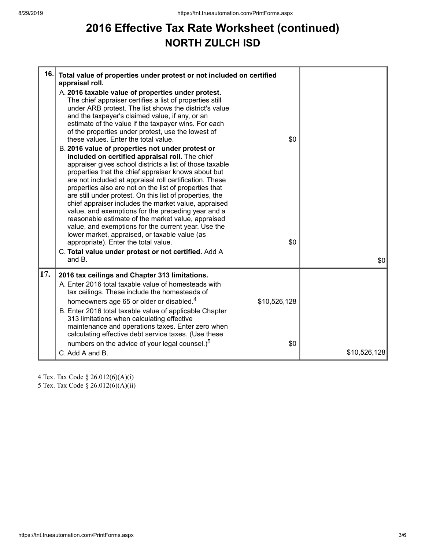## **2016 Effective Tax Rate Worksheet (continued) NORTH ZULCH ISD**

| 16. | Total value of properties under protest or not included on certified<br>appraisal roll.<br>A. 2016 taxable value of properties under protest.<br>The chief appraiser certifies a list of properties still<br>under ARB protest. The list shows the district's value<br>and the taxpayer's claimed value, if any, or an<br>estimate of the value if the taxpayer wins. For each<br>of the properties under protest, use the lowest of<br>these values. Enter the total value.<br>B. 2016 value of properties not under protest or<br>included on certified appraisal roll. The chief<br>appraiser gives school districts a list of those taxable<br>properties that the chief appraiser knows about but<br>are not included at appraisal roll certification. These<br>properties also are not on the list of properties that<br>are still under protest. On this list of properties, the<br>chief appraiser includes the market value, appraised<br>value, and exemptions for the preceding year and a<br>reasonable estimate of the market value, appraised<br>value, and exemptions for the current year. Use the<br>lower market, appraised, or taxable value (as<br>appropriate). Enter the total value.<br>C. Total value under protest or not certified. Add A<br>and B. | \$0<br>\$0          | \$0          |
|-----|-------------------------------------------------------------------------------------------------------------------------------------------------------------------------------------------------------------------------------------------------------------------------------------------------------------------------------------------------------------------------------------------------------------------------------------------------------------------------------------------------------------------------------------------------------------------------------------------------------------------------------------------------------------------------------------------------------------------------------------------------------------------------------------------------------------------------------------------------------------------------------------------------------------------------------------------------------------------------------------------------------------------------------------------------------------------------------------------------------------------------------------------------------------------------------------------------------------------------------------------------------------------------------|---------------------|--------------|
| 17. | 2016 tax ceilings and Chapter 313 limitations.                                                                                                                                                                                                                                                                                                                                                                                                                                                                                                                                                                                                                                                                                                                                                                                                                                                                                                                                                                                                                                                                                                                                                                                                                                |                     |              |
|     | A. Enter 2016 total taxable value of homesteads with<br>tax ceilings. These include the homesteads of<br>homeowners age 65 or older or disabled. <sup>4</sup><br>B. Enter 2016 total taxable value of applicable Chapter<br>313 limitations when calculating effective<br>maintenance and operations taxes. Enter zero when<br>calculating effective debt service taxes. (Use these<br>numbers on the advice of your legal counsel.) <sup>5</sup><br>C. Add A and B.                                                                                                                                                                                                                                                                                                                                                                                                                                                                                                                                                                                                                                                                                                                                                                                                          | \$10,526,128<br>\$0 | \$10,526,128 |

4 Tex. Tax Code § 26.012(6)(A)(i)

5 Tex. Tax Code § 26.012(6)(A)(ii)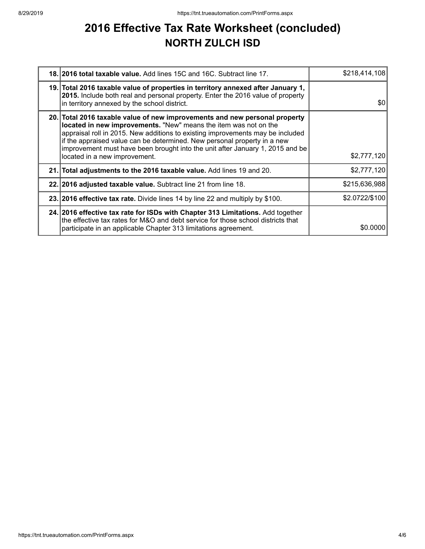### **2016 Effective Tax Rate Worksheet (concluded) NORTH ZULCH ISD**

| 18. 2016 total taxable value. Add lines 15C and 16C. Subtract line 17.                                                                                                                                                                                                                                                                                                                                                         | \$218,414,108  |
|--------------------------------------------------------------------------------------------------------------------------------------------------------------------------------------------------------------------------------------------------------------------------------------------------------------------------------------------------------------------------------------------------------------------------------|----------------|
| 19. Total 2016 taxable value of properties in territory annexed after January 1,<br>2015. Include both real and personal property. Enter the 2016 value of property<br>in territory annexed by the school district.                                                                                                                                                                                                            | \$0            |
| 20. Total 2016 taxable value of new improvements and new personal property<br>located in new improvements. "New" means the item was not on the<br>appraisal roll in 2015. New additions to existing improvements may be included<br>if the appraised value can be determined. New personal property in a new<br>improvement must have been brought into the unit after January 1, 2015 and be<br>located in a new improvement. | \$2,777,120    |
| 21. Total adjustments to the 2016 taxable value. Add lines 19 and 20.                                                                                                                                                                                                                                                                                                                                                          | \$2,777,120    |
| 22. 2016 adjusted taxable value. Subtract line 21 from line 18.                                                                                                                                                                                                                                                                                                                                                                | \$215,636,988  |
| 23. 2016 effective tax rate. Divide lines 14 by line 22 and multiply by \$100.                                                                                                                                                                                                                                                                                                                                                 | \$2.0722/\$100 |
| 24. 2016 effective tax rate for ISDs with Chapter 313 Limitations. Add together<br>the effective tax rates for M&O and debt service for those school districts that<br>participate in an applicable Chapter 313 limitations agreement.                                                                                                                                                                                         | \$0,0000       |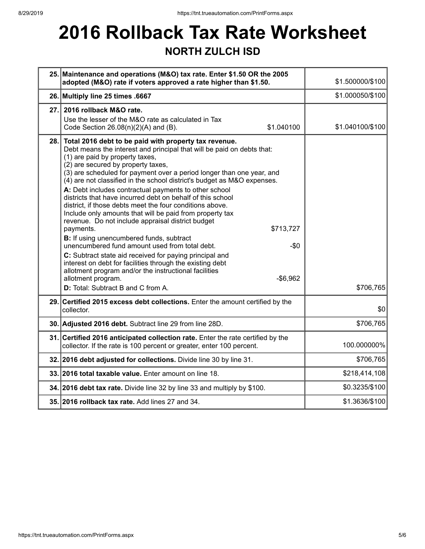# **2016 Rollback Tax Rate Worksheet**

### **NORTH ZULCH ISD**

|      | 25. Maintenance and operations (M&O) tax rate. Enter \$1.50 OR the 2005<br>adopted (M&O) rate if voters approved a rate higher than \$1.50.                                                                                                                                                                                                                                                                                                                                                                                                                                                                                                                                                                                                                                                                                                                                                                                                                                                                                                                         | \$1.500000/\$100 |
|------|---------------------------------------------------------------------------------------------------------------------------------------------------------------------------------------------------------------------------------------------------------------------------------------------------------------------------------------------------------------------------------------------------------------------------------------------------------------------------------------------------------------------------------------------------------------------------------------------------------------------------------------------------------------------------------------------------------------------------------------------------------------------------------------------------------------------------------------------------------------------------------------------------------------------------------------------------------------------------------------------------------------------------------------------------------------------|------------------|
|      | 26. Multiply line 25 times .6667                                                                                                                                                                                                                                                                                                                                                                                                                                                                                                                                                                                                                                                                                                                                                                                                                                                                                                                                                                                                                                    | \$1.000050/\$100 |
| 27.1 | 2016 rollback M&O rate.<br>Use the lesser of the M&O rate as calculated in Tax<br>\$1.040100<br>Code Section $26.08(n)(2)(A)$ and (B).                                                                                                                                                                                                                                                                                                                                                                                                                                                                                                                                                                                                                                                                                                                                                                                                                                                                                                                              | \$1.040100/\$100 |
| 28.  | Total 2016 debt to be paid with property tax revenue.<br>Debt means the interest and principal that will be paid on debts that:<br>(1) are paid by property taxes,<br>(2) are secured by property taxes,<br>(3) are scheduled for payment over a period longer than one year, and<br>(4) are not classified in the school district's budget as M&O expenses.<br>A: Debt includes contractual payments to other school<br>districts that have incurred debt on behalf of this school<br>district, if those debts meet the four conditions above.<br>Include only amounts that will be paid from property tax<br>revenue. Do not include appraisal district budget<br>payments.<br>\$713,727<br><b>B:</b> If using unencumbered funds, subtract<br>unencumbered fund amount used from total debt.<br>$-\$0$<br>C: Subtract state aid received for paying principal and<br>interest on debt for facilities through the existing debt<br>allotment program and/or the instructional facilities<br>allotment program.<br>$-$6,962$<br>D: Total: Subtract B and C from A. | \$706,765        |
|      | 29. Certified 2015 excess debt collections. Enter the amount certified by the<br>collector.                                                                                                                                                                                                                                                                                                                                                                                                                                                                                                                                                                                                                                                                                                                                                                                                                                                                                                                                                                         | \$0              |
|      | 30. Adjusted 2016 debt. Subtract line 29 from line 28D.                                                                                                                                                                                                                                                                                                                                                                                                                                                                                                                                                                                                                                                                                                                                                                                                                                                                                                                                                                                                             | \$706,765        |
|      | 31. Certified 2016 anticipated collection rate. Enter the rate certified by the<br>collector. If the rate is 100 percent or greater, enter 100 percent.                                                                                                                                                                                                                                                                                                                                                                                                                                                                                                                                                                                                                                                                                                                                                                                                                                                                                                             | 100.000000%      |
|      | 32. 2016 debt adjusted for collections. Divide line 30 by line 31.                                                                                                                                                                                                                                                                                                                                                                                                                                                                                                                                                                                                                                                                                                                                                                                                                                                                                                                                                                                                  | \$706,765        |
|      | 33. 2016 total taxable value. Enter amount on line 18.                                                                                                                                                                                                                                                                                                                                                                                                                                                                                                                                                                                                                                                                                                                                                                                                                                                                                                                                                                                                              | \$218,414,108    |
|      | 34. 2016 debt tax rate. Divide line 32 by line 33 and multiply by \$100.                                                                                                                                                                                                                                                                                                                                                                                                                                                                                                                                                                                                                                                                                                                                                                                                                                                                                                                                                                                            | \$0.3235/\$100   |
|      | 35. 2016 rollback tax rate. Add lines 27 and 34.                                                                                                                                                                                                                                                                                                                                                                                                                                                                                                                                                                                                                                                                                                                                                                                                                                                                                                                                                                                                                    | \$1.3636/\$100   |